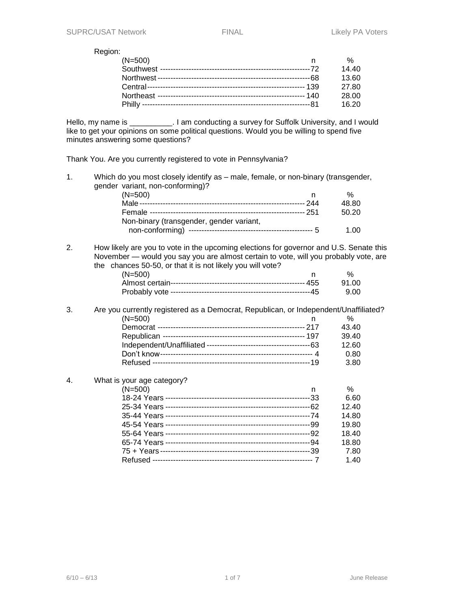#### Region:

| $(N=500)$ | %     |
|-----------|-------|
|           | 14.40 |
|           | 13.60 |
|           | 27.80 |
|           | 28.00 |
|           | 16.20 |

Hello, my name is \_\_\_\_\_\_\_\_\_\_. I am conducting a survey for Suffolk University, and I would like to get your opinions on some political questions. Would you be willing to spend five minutes answering some questions?

Thank You. Are you currently registered to vote in Pennsylvania?

| 1. | Which do you most closely identify as - male, female, or non-binary (transgender,                                                                                                                                                            |   |       |
|----|----------------------------------------------------------------------------------------------------------------------------------------------------------------------------------------------------------------------------------------------|---|-------|
|    | gender variant, non-conforming)?                                                                                                                                                                                                             |   |       |
|    | $(N=500)$                                                                                                                                                                                                                                    | n | $\%$  |
|    |                                                                                                                                                                                                                                              |   | 48.80 |
|    |                                                                                                                                                                                                                                              |   | 50.20 |
|    | Non-binary (transgender, gender variant,                                                                                                                                                                                                     |   |       |
|    |                                                                                                                                                                                                                                              |   | 1.00  |
| 2. | How likely are you to vote in the upcoming elections for governor and U.S. Senate this<br>November — would you say you are almost certain to vote, will you probably vote, are<br>the chances 50-50, or that it is not likely you will vote? |   |       |
|    | $(N=500)$                                                                                                                                                                                                                                    | n | $\%$  |
|    |                                                                                                                                                                                                                                              |   | 91.00 |
|    |                                                                                                                                                                                                                                              |   | 9.00  |
| 3. | Are you currently registered as a Democrat, Republican, or Independent/Unaffiliated?                                                                                                                                                         |   |       |
|    | $(N=500)$                                                                                                                                                                                                                                    | n | %     |
|    |                                                                                                                                                                                                                                              |   | 43.40 |
|    |                                                                                                                                                                                                                                              |   | 39.40 |
|    |                                                                                                                                                                                                                                              |   | 12.60 |
|    |                                                                                                                                                                                                                                              |   | 0.80  |
|    |                                                                                                                                                                                                                                              |   | 3.80  |
| 4. | What is your age category?                                                                                                                                                                                                                   |   |       |
|    | $(N=500)$                                                                                                                                                                                                                                    | n | $\%$  |
|    |                                                                                                                                                                                                                                              |   | 6.60  |
|    |                                                                                                                                                                                                                                              |   | 12.40 |
|    |                                                                                                                                                                                                                                              |   | 14.80 |
|    |                                                                                                                                                                                                                                              |   | 19.80 |
|    |                                                                                                                                                                                                                                              |   | 18.40 |
|    |                                                                                                                                                                                                                                              |   | 18.80 |

75 + Years ----------------------------------------------------------39 7.80

Refused -------------------------------------------------------------- 7 1.40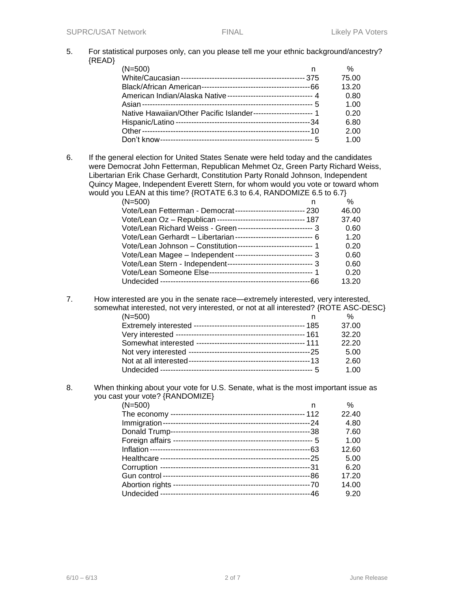5. For statistical purposes only, can you please tell me your ethnic background/ancestry? {READ}

| $(N=500)$                                                           | n | $\%$  |
|---------------------------------------------------------------------|---|-------|
|                                                                     |   | 75.00 |
|                                                                     |   | 13.20 |
| American Indian/Alaska Native ----------------------------------- 4 |   | 0.80  |
|                                                                     |   | 1.00  |
| Native Hawaiian/Other Pacific Islander------------------------ 1    |   | 0.20  |
|                                                                     |   | 6.80  |
|                                                                     |   | 2.00  |
|                                                                     |   | 1.00  |

6. If the general election for United States Senate were held today and the candidates were Democrat John Fetterman, Republican Mehmet Oz, Green Party Richard Weiss, Libertarian Erik Chase Gerhardt, Constitution Party Ronald Johnson, Independent Quincy Magee, Independent Everett Stern, for whom would you vote or toward whom would you LEAN at this time? {ROTATE 6.3 to 6.4, RANDOMIZE 6.5 to 6.7}

| (N=500)                                                            | %     |
|--------------------------------------------------------------------|-------|
| Vote/Lean Fetterman - Democrat--------------------------- 230      | 46.00 |
| Vote/Lean Oz - Republican ---------------------------------- 187   | 37.40 |
| Vote/Lean Richard Weiss - Green ----------------------------- 3    | 0.60  |
| Vote/Lean Gerhardt - Libertarian ------------------------------- 6 | 1.20  |
| Vote/Lean Johnson - Constitution------------------------------ 1   | 0.20  |
| Vote/Lean Magee - Independent ------------------------------ 3     | 0.60  |
| Vote/Lean Stern - Independent--------------------------------- 3   | 0.60  |
|                                                                    | 0.20  |
| .66                                                                | 13.20 |

7. How interested are you in the senate race—extremely interested, very interested, somewhat interested, not very interested, or not at all interested? {ROTE ASC-DESC}

| $(N=500)$ | %     |
|-----------|-------|
|           | 37.00 |
|           | 32.20 |
|           | 22.20 |
|           | 5.00  |
|           | 2.60  |
|           | 1.00  |
|           |       |

8. When thinking about your vote for U.S. Senate, what is the most important issue as you cast your vote? {RANDOMIZE}

| $(N=500)$       | n   | %     |
|-----------------|-----|-------|
|                 |     | 22.40 |
| Immigration-    |     | 4.80  |
| Donald Trump-   |     | 7.60  |
| Foreign affairs |     | 1.00  |
|                 |     | 12.60 |
|                 |     | 5.00  |
|                 |     | 6.20  |
|                 | -86 | 17.20 |
| Abortion rights |     | 14.00 |
|                 | .46 | 9.20  |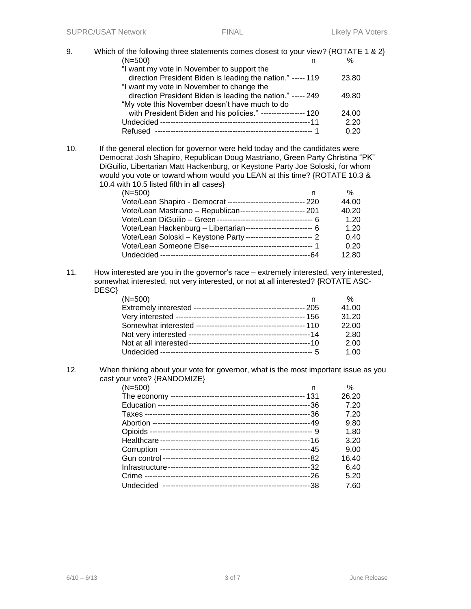9. Which of the following three statements comes closest to your view? {ROTATE 1 & 2}  $(N=500)$  n % "I want my vote in November to support the direction President Biden is leading the nation." ----- 119 23.80 "I want my vote in November to change the direction President Biden is leading the nation." ----- 249 49.80 "My vote this November doesn't have much to do with President Biden and his policies." ----------------- 120 24.00 Undecided ----------------------------------------------------------11 2.20 Refused ------------------------------------------------------------- 1 0.20 10. If the general election for governor were held today and the candidates were Democrat Josh Shapiro, Republican Doug Mastriano, Green Party Christina "PK" DiGuilio, Libertarian Matt Hackenburg, or Keystone Party Joe Soloski, for whom would you vote or toward whom would you LEAN at this time? {ROTATE 10.3 & 10.4 with 10.5 listed fifth in all cases} (N=500) n % Vote/Lean Shapiro - Democrat ------------------------------ 220 44.00 Vote/Lean Mastriano – Republican------------------------- 201 40.20 Vote/Lean DiGuilio – Green ------------------------------------- 6 1.20 Vote/Lean Hackenburg – Libertarian-------------------------- 6 1.20 Vote/Lean Soloski – Keystone Party -------------------------- 2 0.40 Vote/Lean Someone Else---------------------------------------- 1 0.20 Undecided ----------------------------------------------------------64 12.80 11. How interested are you in the governor's race – extremely interested, very interested, somewhat interested, not very interested, or not at all interested? {ROTATE ASC-DESC} (N=500) n % Extremely interested ------------------------------------------- 205 41.00 Very interested -------------------------------------------------- 156 31.20 Somewhat interested ------------------------------------------ 110 22.00 Not very interested -----------------------------------------------14 2.80 Not at all interested-----------------------------------------------10 2.00 Undecided ----------------------------------------------------------- 5 1.00 12. When thinking about your vote for governor, what is the most important issue as you cast your vote? {RANDOMIZE} (N=500) n % The economy ---------------------------------------------------- 131 26.20 Education -----------------------------------------------------------36 7.20 Taxes ----------------------------------------------------------------36 7.20 Abortion -------------------------------------------------------------49 9.80 Opioids --------------------------------------------------------------- 9 1.80 Healthcare ----------------------------------------------------------16 3.20 Corruption ----------------------------------------------------------45 9.00 Gun control ---------------------------------------------------------82 16.40 Infrastructure-------------------------------------------------------32 6.40 Crime ----------------------------------------------------------------26 5.20 Undecided ---------------------------------------------------------38 7.60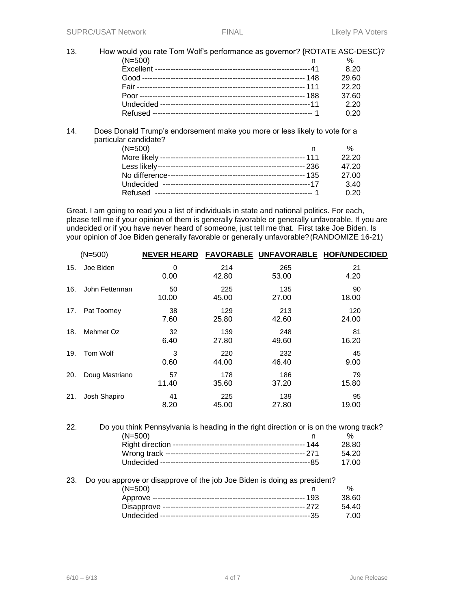### 13. How would you rate Tom Wolf's performance as governor? {ROTATE ASC-DESC}? (N=500) n %

| ו טטט=צו |       |
|----------|-------|
|          | 8.20  |
|          | 29.60 |
|          | 22.20 |
|          | 37.60 |
|          | 2.20  |
|          | 0.20  |
|          |       |

# 14. Does Donald Trump's endorsement make you more or less likely to vote for a particular candidate?

| $(N=500)$ | %     |
|-----------|-------|
|           | 22.20 |
|           | 47.20 |
|           | 27.00 |
|           | 3.40  |
|           | 0.20  |

Great. I am going to read you a list of individuals in state and national politics. For each, please tell me if your opinion of them is generally favorable or generally unfavorable. If you are undecided or if you have never heard of someone, just tell me that. First take Joe Biden. Is your opinion of Joe Biden generally favorable or generally unfavorable?(RANDOMIZE 16-21)

|     | $(N=500)$      | <b>NEVER HEARD</b> |              |              | <b>FAVORABLE UNFAVORABLE HOF/UNDECIDED</b> |
|-----|----------------|--------------------|--------------|--------------|--------------------------------------------|
| 15. | Joe Biden      | 0<br>0.00          | 214<br>42.80 | 265<br>53.00 | 21<br>4.20                                 |
| 16. | John Fetterman | 50<br>10.00        | 225<br>45.00 | 135<br>27.00 | 90<br>18.00                                |
| 17. | Pat Toomey     | 38<br>7.60         | 129<br>25.80 | 213<br>42.60 | 120<br>24.00                               |
| 18. | Mehmet Oz      | 32<br>6.40         | 139<br>27.80 | 248<br>49.60 | 81<br>16.20                                |
| 19. | Tom Wolf       | 3<br>0.60          | 220<br>44.00 | 232<br>46.40 | 45<br>9.00                                 |
| 20. | Doug Mastriano | 57<br>11.40        | 178<br>35.60 | 186<br>37.20 | 79<br>15.80                                |
| 21. | Josh Shapiro   | 41<br>8.20         | 225<br>45.00 | 139<br>27.80 | 95<br>19.00                                |

| 22. | Do you think Pennsylvania is heading in the right direction or is on the wrong track? |       |
|-----|---------------------------------------------------------------------------------------|-------|
|     | $(N=500)$                                                                             | %     |
|     |                                                                                       | 28.80 |
|     |                                                                                       | 54.20 |
|     |                                                                                       | 17.00 |
|     |                                                                                       |       |

#### 23. Do you approve or disapprove of the job Joe Biden is doing as president? (N=500) n % Approve ----------------------------------------------------------- 193 38.60 Disapprove ------------------------------------------------------- 272 54.40 Undecided ----------------------------------------------------------35 7.00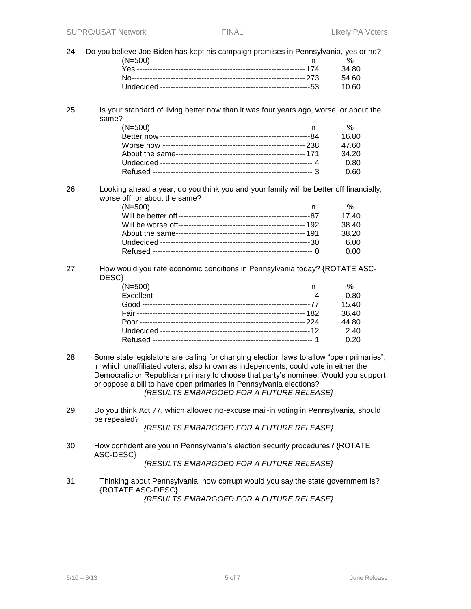| 24. | Do you believe Joe Biden has kept his campaign promises in Pennsylvania, yes or no?<br>$(N=500)$                                                                                                                                                                                                                                                                                       | n | %     |
|-----|----------------------------------------------------------------------------------------------------------------------------------------------------------------------------------------------------------------------------------------------------------------------------------------------------------------------------------------------------------------------------------------|---|-------|
|     |                                                                                                                                                                                                                                                                                                                                                                                        |   | 34.80 |
|     |                                                                                                                                                                                                                                                                                                                                                                                        |   | 54.60 |
|     |                                                                                                                                                                                                                                                                                                                                                                                        |   | 10.60 |
|     |                                                                                                                                                                                                                                                                                                                                                                                        |   |       |
| 25. | Is your standard of living better now than it was four years ago, worse, or about the<br>same?                                                                                                                                                                                                                                                                                         |   |       |
|     | $(N=500)$                                                                                                                                                                                                                                                                                                                                                                              | n | %     |
|     |                                                                                                                                                                                                                                                                                                                                                                                        |   | 16.80 |
|     |                                                                                                                                                                                                                                                                                                                                                                                        |   | 47.60 |
|     |                                                                                                                                                                                                                                                                                                                                                                                        |   | 34.20 |
|     |                                                                                                                                                                                                                                                                                                                                                                                        |   | 0.80  |
|     |                                                                                                                                                                                                                                                                                                                                                                                        |   | 0.60  |
| 26. | Looking ahead a year, do you think you and your family will be better off financially,<br>worse off, or about the same?<br>$(N=500)$                                                                                                                                                                                                                                                   | n | %     |
|     |                                                                                                                                                                                                                                                                                                                                                                                        |   | 17.40 |
|     |                                                                                                                                                                                                                                                                                                                                                                                        |   | 38.40 |
|     |                                                                                                                                                                                                                                                                                                                                                                                        |   | 38.20 |
|     |                                                                                                                                                                                                                                                                                                                                                                                        |   | 6.00  |
|     |                                                                                                                                                                                                                                                                                                                                                                                        |   | 0.00  |
| 27. | How would you rate economic conditions in Pennsylvania today? {ROTATE ASC-<br>DESC}<br>$(N=500)$                                                                                                                                                                                                                                                                                       | n | %     |
|     |                                                                                                                                                                                                                                                                                                                                                                                        |   | 0.80  |
|     |                                                                                                                                                                                                                                                                                                                                                                                        |   | 15.40 |
|     |                                                                                                                                                                                                                                                                                                                                                                                        |   | 36.40 |
|     |                                                                                                                                                                                                                                                                                                                                                                                        |   | 44.80 |
|     |                                                                                                                                                                                                                                                                                                                                                                                        |   | 2.40  |
|     |                                                                                                                                                                                                                                                                                                                                                                                        |   | 0.20  |
|     |                                                                                                                                                                                                                                                                                                                                                                                        |   |       |
| 28. | Some state legislators are calling for changing election laws to allow "open primaries",<br>in which unaffiliated voters, also known as independents, could vote in either the<br>Democratic or Republican primary to choose that party's nominee. Would you support<br>or oppose a bill to have open primaries in Pennsylvania elections?<br>{RESULTS EMBARGOED FOR A FUTURE RELEASE} |   |       |
| 29. | Do you think Act 77, which allowed no-excuse mail-in voting in Pennsylvania, should<br>be repealed?                                                                                                                                                                                                                                                                                    |   |       |
|     | {RESULTS EMBARGOED FOR A FUTURE RELEASE}                                                                                                                                                                                                                                                                                                                                               |   |       |
| 30. | How confident are you in Pennsylvania's election security procedures? {ROTATE<br>ASC-DESC}                                                                                                                                                                                                                                                                                             |   |       |
|     | {RESULTS EMBARGOED FOR A FUTURE RELEASE}                                                                                                                                                                                                                                                                                                                                               |   |       |
| 31. | Thinking about Pennsylvania, how corrupt would you say the state government is?<br>{ROTATE ASC-DESC}                                                                                                                                                                                                                                                                                   |   |       |
|     | {RESULTS EMBARGOED FOR A FUTURE RELEASE}                                                                                                                                                                                                                                                                                                                                               |   |       |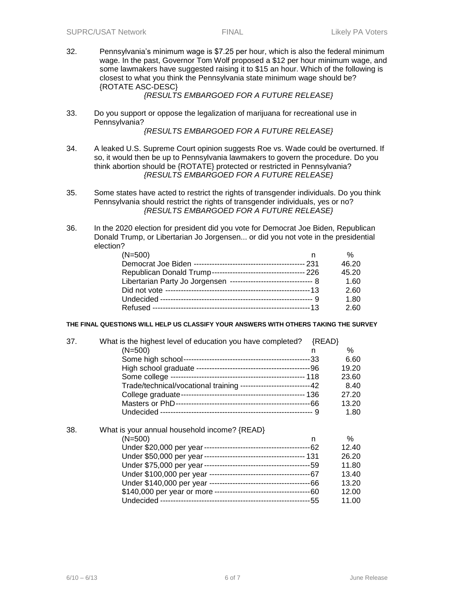32. Pennsylvania's minimum wage is \$7.25 per hour, which is also the federal minimum wage. In the past, Governor Tom Wolf proposed a \$12 per hour minimum wage, and some lawmakers have suggested raising it to \$15 an hour. Which of the following is closest to what you think the Pennsylvania state minimum wage should be? {ROTATE ASC-DESC}

### *{RESULTS EMBARGOED FOR A FUTURE RELEASE}*

33. Do you support or oppose the legalization of marijuana for recreational use in Pennsylvania?

## *{RESULTS EMBARGOED FOR A FUTURE RELEASE}*

- 34. A leaked U.S. Supreme Court opinion suggests Roe vs. Wade could be overturned. If so, it would then be up to Pennsylvania lawmakers to govern the procedure. Do you think abortion should be {ROTATE} protected or restricted in Pennsylvania? *{RESULTS EMBARGOED FOR A FUTURE RELEASE}*
- 35. Some states have acted to restrict the rights of transgender individuals. Do you think Pennsylvania should restrict the rights of transgender individuals, yes or no? *{RESULTS EMBARGOED FOR A FUTURE RELEASE}*
- 36. In the 2020 election for president did you vote for Democrat Joe Biden, Republican Donald Trump, or Libertarian Jo Jorgensen... or did you not vote in the presidential election?

| $(N=500)$ | %     |
|-----------|-------|
|           | 46.20 |
|           | 45.20 |
|           | 1.60  |
|           | 2.60  |
|           | 1.80  |
|           | 2.60  |

### **THE FINAL QUESTIONS WILL HELP US CLASSIFY YOUR ANSWERS WITH OTHERS TAKING THE SURVEY**

| 37. | What is the highest level of education you have completed?        | ${READ}$ |       |
|-----|-------------------------------------------------------------------|----------|-------|
|     | $(N=500)$                                                         | n        | %     |
|     |                                                                   |          | 6.60  |
|     |                                                                   |          | 19.20 |
|     |                                                                   |          | 23.60 |
|     | Trade/technical/vocational training ---------------------------42 |          | 8.40  |
|     |                                                                   |          | 27.20 |
|     |                                                                   |          | 13.20 |
|     |                                                                   |          | 1.80  |
| 38. | What is your annual household income? {READ}                      |          |       |
|     | (N=500)                                                           | n        | %     |
|     |                                                                   |          | 12.40 |
|     |                                                                   |          | 26.20 |
|     |                                                                   |          | 11.80 |
|     |                                                                   |          | 13.40 |
|     |                                                                   |          | 13.20 |
|     |                                                                   |          | 12.00 |
|     |                                                                   |          | 11.00 |